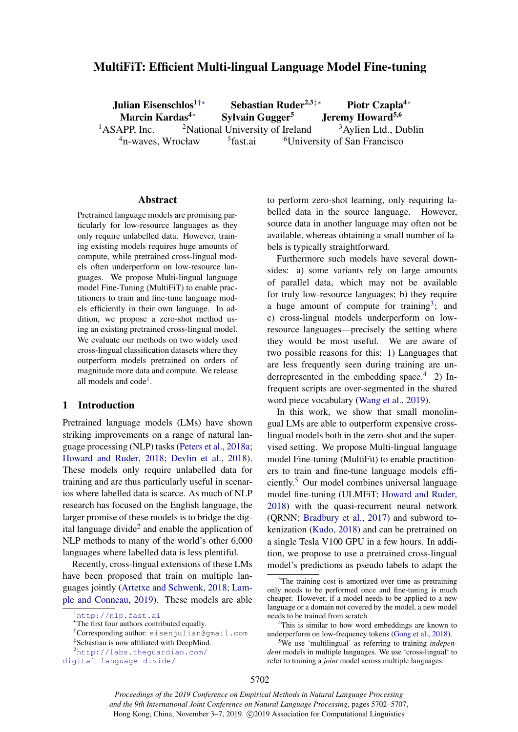# MultiFiT: Efficient Multi-lingual Language Model Fine-tuning

Julian Eisenschlos<sup>1†</sup>\* Sebastian Ruder<sup>2,3‡</sup>\* Piotr Czapla<sup>4</sup><sup>\*</sup><br>Marcin Kardas<sup>4∗</sup> Sylvain Gugger<sup>5</sup> Jeremy Howard<sup>5,6</sup> Sylvain Gugger<sup>5</sup> Jeremy Howard<sup>5,6</sup> <sup>1</sup>ASAPP, Inc. <sup>2</sup>National University of Ireland <sup>3</sup>Aylien Ltd., Dublin<sup>4</sup>n-waves. Wrocław <sup>5</sup>fast.ai <sup>6</sup>University of San Francisco <sup>4</sup>n-waves, Wrocław <sup>6</sup>University of San Francisco

#### Abstract

Pretrained language models are promising particularly for low-resource languages as they only require unlabelled data. However, training existing models requires huge amounts of compute, while pretrained cross-lingual models often underperform on low-resource languages. We propose Multi-lingual language model Fine-Tuning (MultiFiT) to enable practitioners to train and fine-tune language models efficiently in their own language. In addition, we propose a zero-shot method using an existing pretrained cross-lingual model. We evaluate our methods on two widely used cross-lingual classification datasets where they outperform models pretrained on orders of magnitude more data and compute. We release all models and code<sup>[1](#page-0-0)</sup>.

## 1 Introduction

Pretrained language models (LMs) have shown striking improvements on a range of natural language processing (NLP) tasks [\(Peters et al.,](#page-5-0) [2018a;](#page-5-0) [Howard and Ruder,](#page-5-1) [2018;](#page-5-1) [Devlin et al.,](#page-5-2) [2018\)](#page-5-2). These models only require unlabelled data for training and are thus particularly useful in scenarios where labelled data is scarce. As much of NLP research has focused on the English language, the larger promise of these models is to bridge the dig-ital language divide<sup>[2](#page-0-1)</sup> and enable the application of NLP methods to many of the world's other 6,000 languages where labelled data is less plentiful.

Recently, cross-lingual extensions of these LMs have been proposed that train on multiple languages jointly [\(Artetxe and Schwenk,](#page-4-0) [2018;](#page-4-0) [Lam](#page-5-3)[ple and Conneau,](#page-5-3) [2019\)](#page-5-3). These models are able

to perform zero-shot learning, only requiring labelled data in the source language. However, source data in another language may often not be available, whereas obtaining a small number of labels is typically straightforward.

Furthermore such models have several downsides: a) some variants rely on large amounts of parallel data, which may not be available for truly low-resource languages; b) they require a huge amount of compute for training<sup>[3](#page-0-2)</sup>; and c) cross-lingual models underperform on lowresource languages—precisely the setting where they would be most useful. We are aware of two possible reasons for this: 1) Languages that are less frequently seen during training are underrepresented in the embedding space. $4$  2) Infrequent scripts are over-segmented in the shared word piece vocabulary [\(Wang et al.,](#page-5-4) [2019\)](#page-5-4).

In this work, we show that small monolingual LMs are able to outperform expensive crosslingual models both in the zero-shot and the supervised setting. We propose Multi-lingual language model Fine-tuning (MultiFit) to enable practitioners to train and fine-tune language models efficiently.[5](#page-0-4) Our model combines universal language model fine-tuning (ULMFiT; [Howard and Ruder,](#page-5-1) [2018\)](#page-5-1) with the quasi-recurrent neural network (QRNN; [Bradbury et al.,](#page-4-1) [2017\)](#page-4-1) and subword tokenization [\(Kudo,](#page-5-5) [2018\)](#page-5-5) and can be pretrained on a single Tesla V100 GPU in a few hours. In addition, we propose to use a pretrained cross-lingual model's predictions as pseudo labels to adapt the

<span id="page-0-0"></span><sup>1</sup><http://nlp.fast.ai>

<sup>\*</sup>The first four authors contributed equally.

<sup>†</sup>Corresponding author: eisenjulian@gmail.com

<span id="page-0-1"></span><sup>‡</sup> Sebastian is now affiliated with DeepMind.

<sup>2</sup>[http://labs.theguardian.com/](http://labs.theguardian.com/digital-language-divide/)

[digital-language-divide/](http://labs.theguardian.com/digital-language-divide/)

<span id="page-0-2"></span>The training cost is amortized over time as pretraining only needs to be performed once and fine-tuning is much cheaper. However, if a model needs to be applied to a new language or a domain not covered by the model, a new model needs to be trained from scratch.

<span id="page-0-3"></span><sup>&</sup>lt;sup>4</sup>This is similar to how word embeddings are known to underperform on low-frequency tokens [\(Gong et al.,](#page-5-6) [2018\)](#page-5-6).

<span id="page-0-4"></span><sup>5</sup>We use 'multilingual' as referring to training *independent* models in multiple languages. We use 'cross-lingual' to refer to training a *joint* model across multiple languages.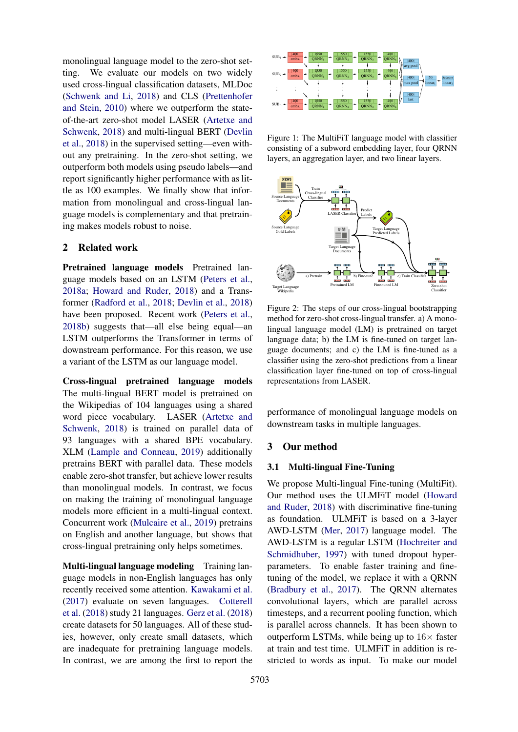monolingual language model to the zero-shot setting. We evaluate our models on two widely used cross-lingual classification datasets, MLDoc [\(Schwenk and Li,](#page-5-7) [2018\)](#page-5-7) and CLS [\(Prettenhofer](#page-5-8) [and Stein,](#page-5-8) [2010\)](#page-5-8) where we outperform the stateof-the-art zero-shot model LASER [\(Artetxe and](#page-4-0) [Schwenk,](#page-4-0) [2018\)](#page-4-0) and multi-lingual BERT [\(Devlin](#page-5-2) [et al.,](#page-5-2) [2018\)](#page-5-2) in the supervised setting—even without any pretraining. In the zero-shot setting, we outperform both models using pseudo labels—and report significantly higher performance with as little as 100 examples. We finally show that information from monolingual and cross-lingual language models is complementary and that pretraining makes models robust to noise.

## 2 Related work

Pretrained language models Pretrained language models based on an LSTM [\(Peters et al.,](#page-5-0) [2018a;](#page-5-0) [Howard and Ruder,](#page-5-1) [2018\)](#page-5-1) and a Transformer [\(Radford et al.,](#page-5-9) [2018;](#page-5-9) [Devlin et al.,](#page-5-2) [2018\)](#page-5-2) have been proposed. Recent work [\(Peters et al.,](#page-5-10) [2018b\)](#page-5-10) suggests that—all else being equal—an LSTM outperforms the Transformer in terms of downstream performance. For this reason, we use a variant of the LSTM as our language model.

Cross-lingual pretrained language models The multi-lingual BERT model is pretrained on the Wikipedias of 104 languages using a shared word piece vocabulary. LASER [\(Artetxe and](#page-4-0) [Schwenk,](#page-4-0) [2018\)](#page-4-0) is trained on parallel data of 93 languages with a shared BPE vocabulary. XLM [\(Lample and Conneau,](#page-5-3) [2019\)](#page-5-3) additionally pretrains BERT with parallel data. These models enable zero-shot transfer, but achieve lower results than monolingual models. In contrast, we focus on making the training of monolingual language models more efficient in a multi-lingual context. Concurrent work [\(Mulcaire et al.,](#page-5-11) [2019\)](#page-5-11) pretrains on English and another language, but shows that cross-lingual pretraining only helps sometimes.

Multi-lingual language modeling Training language models in non-English languages has only recently received some attention. [Kawakami et al.](#page-5-12) [\(2017\)](#page-5-12) evaluate on seven languages. [Cotterell](#page-4-2) [et al.](#page-4-2) [\(2018\)](#page-4-2) study 21 languages. [Gerz et al.](#page-5-13) [\(2018\)](#page-5-13) create datasets for 50 languages. All of these studies, however, only create small datasets, which are inadequate for pretraining language models. In contrast, we are among the first to report the

<span id="page-1-0"></span>

Figure 1: The MultiFiT language model with classifier consisting of a subword embedding layer, four QRNN layers, an aggregation layer, and two linear layers.

<span id="page-1-1"></span>

Figure 2: The steps of our cross-lingual bootstrapping method for zero-shot cross-lingual transfer. a) A monolingual language model (LM) is pretrained on target language data; b) the LM is fine-tuned on target language documents; and c) the LM is fine-tuned as a classifier using the zero-shot predictions from a linear classification layer fine-tuned on top of cross-lingual representations from LASER.

performance of monolingual language models on downstream tasks in multiple languages.

## 3 Our method

#### 3.1 Multi-lingual Fine-Tuning

We propose Multi-lingual Fine-tuning (MultiFit). Our method uses the ULMFiT model [\(Howard](#page-5-1) [and Ruder,](#page-5-1) [2018\)](#page-5-1) with discriminative fine-tuning as foundation. ULMFiT is based on a 3-layer AWD-LSTM [\(Mer,](#page-4-3) [2017\)](#page-4-3) language model. The AWD-LSTM is a regular LSTM [\(Hochreiter and](#page-5-14) [Schmidhuber,](#page-5-14) [1997\)](#page-5-14) with tuned dropout hyperparameters. To enable faster training and finetuning of the model, we replace it with a QRNN [\(Bradbury et al.,](#page-4-1) [2017\)](#page-4-1). The QRNN alternates convolutional layers, which are parallel across timesteps, and a recurrent pooling function, which is parallel across channels. It has been shown to outperform LSTMs, while being up to  $16\times$  faster at train and test time. ULMFiT in addition is restricted to words as input. To make our model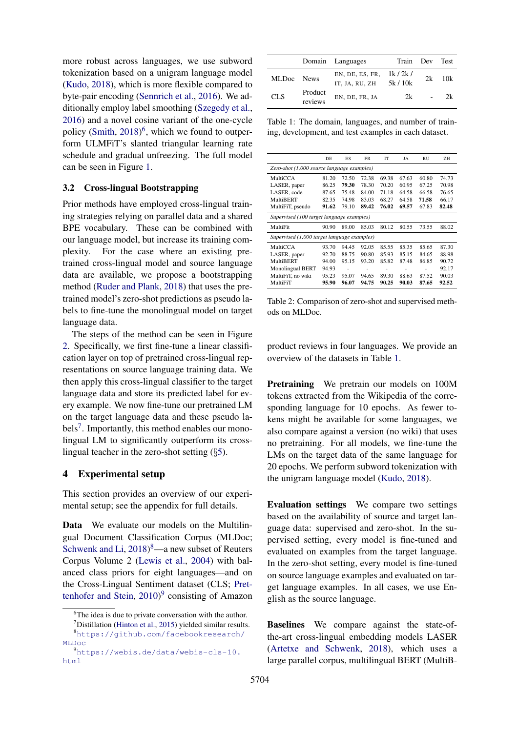more robust across languages, we use subword tokenization based on a unigram language model [\(Kudo,](#page-5-5) [2018\)](#page-5-5), which is more flexible compared to byte-pair encoding [\(Sennrich et al.,](#page-5-15) [2016\)](#page-5-15). We additionally employ label smoothing [\(Szegedy et al.,](#page-5-16) [2016\)](#page-5-16) and a novel cosine variant of the one-cycle policy [\(Smith,](#page-5-17) [2018\)](#page-5-17)<sup>[6](#page-2-0)</sup>, which we found to outperform ULMFiT's slanted triangular learning rate schedule and gradual unfreezing. The full model can be seen in Figure [1.](#page-1-0)

### 3.2 Cross-lingual Bootstrapping

Prior methods have employed cross-lingual training strategies relying on parallel data and a shared BPE vocabulary. These can be combined with our language model, but increase its training complexity. For the case where an existing pretrained cross-lingual model and source language data are available, we propose a bootstrapping method [\(Ruder and Plank,](#page-5-18) [2018\)](#page-5-18) that uses the pretrained model's zero-shot predictions as pseudo labels to fine-tune the monolingual model on target language data.

The steps of the method can be seen in Figure [2.](#page-1-1) Specifically, we first fine-tune a linear classification layer on top of pretrained cross-lingual representations on source language training data. We then apply this cross-lingual classifier to the target language data and store its predicted label for every example. We now fine-tune our pretrained LM on the target language data and these pseudo la-bels<sup>[7](#page-2-1)</sup>. Importantly, this method enables our monolingual LM to significantly outperform its crosslingual teacher in the zero-shot setting  $(\S 5)$  $(\S 5)$ .

### 4 Experimental setup

This section provides an overview of our experimental setup; see the appendix for full details.

Data We evaluate our models on the Multilingual Document Classification Corpus (MLDoc; [Schwenk and Li,](#page-5-7)  $2018$  $2018$ <sup>8</sup>—a new subset of Reuters Corpus Volume 2 [\(Lewis et al.,](#page-5-19) [2004\)](#page-5-19) with balanced class priors for eight languages—and on the Cross-Lingual Sentiment dataset (CLS; [Pret](#page-5-8)[tenhofer and Stein,](#page-5-8) [2010\)](#page-5-8)<sup>[9](#page-2-3)</sup> consisting of Amazon

<span id="page-2-4"></span>

|            |                    | Domain Languages                  | Train Dev        |    | <b>Test</b> |
|------------|--------------------|-----------------------------------|------------------|----|-------------|
| MLDoc News |                    | EN, DE, ES, FR,<br>IT, JA, RU, ZH | 1k/2k/<br>5k/10k | 2k | 10k         |
| <b>CLS</b> | Product<br>reviews | EN, DE, FR, JA                    | 2k               |    | 2k          |

Table 1: The domain, languages, and number of training, development, and test examples in each dataset.

<span id="page-2-5"></span>

|                                             | DE    | ES    | <b>FR</b> | IT    | JA    | <b>RU</b> | ZH    |  |  |  |
|---------------------------------------------|-------|-------|-----------|-------|-------|-----------|-------|--|--|--|
| Zero-shot (1,000 source language examples)  |       |       |           |       |       |           |       |  |  |  |
| MultiCCA                                    | 81.20 | 72.50 | 72.38     | 69.38 | 67.63 | 60.80     | 74.73 |  |  |  |
| LASER, paper                                | 86.25 | 79.30 | 78.30     | 70.20 | 60.95 | 67.25     | 70.98 |  |  |  |
| LASER, code                                 | 87.65 | 75.48 | 84.00     | 71.18 | 64.58 | 66.58     | 76.65 |  |  |  |
| MultiBERT                                   | 82.35 | 74.98 | 83.03     | 68.27 | 64.58 | 71.58     | 66.17 |  |  |  |
| MultiFiT, pseudo                            | 91.62 | 79.10 | 89.42     | 76.02 | 69.57 | 67.83     | 82.48 |  |  |  |
| Supervised (100 target language examples)   |       |       |           |       |       |           |       |  |  |  |
| MultiFit                                    | 90.90 | 89.00 | 85.03     | 80.12 | 80.55 | 73.55     | 88.02 |  |  |  |
| Supervised (1,000 target language examples) |       |       |           |       |       |           |       |  |  |  |
| MultiCCA                                    | 93.70 | 94.45 | 92.05     | 85.55 | 85.35 | 85.65     | 87.30 |  |  |  |
| LASER, paper                                | 92.70 | 88.75 | 90.80     | 85.93 | 85.15 | 84.65     | 88.98 |  |  |  |
| MultiBERT                                   | 94.00 | 95.15 | 93.20     | 85.82 | 87.48 | 86.85     | 90.72 |  |  |  |
| Monolingual BERT                            | 94.93 | ٠     |           |       | ٠     |           | 92.17 |  |  |  |
| MultiFiT, no wiki                           | 95.23 | 95.07 | 94.65     | 89.30 | 88.63 | 87.52     | 90.03 |  |  |  |
| MultiFiT                                    | 95.90 | 96.07 | 94.75     | 90.25 | 90.03 | 87.65     | 92.52 |  |  |  |

Table 2: Comparison of zero-shot and supervised methods on MLDoc.

product reviews in four languages. We provide an overview of the datasets in Table [1.](#page-2-4)

Pretraining We pretrain our models on 100M tokens extracted from the Wikipedia of the corresponding language for 10 epochs. As fewer tokens might be available for some languages, we also compare against a version (no wiki) that uses no pretraining. For all models, we fine-tune the LMs on the target data of the same language for 20 epochs. We perform subword tokenization with the unigram language model [\(Kudo,](#page-5-5) [2018\)](#page-5-5).

Evaluation settings We compare two settings based on the availability of source and target language data: supervised and zero-shot. In the supervised setting, every model is fine-tuned and evaluated on examples from the target language. In the zero-shot setting, every model is fine-tuned on source language examples and evaluated on target language examples. In all cases, we use English as the source language.

Baselines We compare against the state-ofthe-art cross-lingual embedding models LASER [\(Artetxe and Schwenk,](#page-4-0) [2018\)](#page-4-0), which uses a large parallel corpus, multilingual BERT (MultiB-

<span id="page-2-1"></span><span id="page-2-0"></span><sup>&</sup>lt;sup>6</sup>The idea is due to private conversation with the author.  $<sup>7</sup>$ Distillation [\(Hinton et al.,](#page-5-20) [2015\)](#page-5-20) yielded similar results.</sup>

<span id="page-2-2"></span><sup>8</sup>[https://github.com/facebookresearch/](https://github.com/facebookresearch/MLDoc) [MLDoc](https://github.com/facebookresearch/MLDoc)

<span id="page-2-3"></span><sup>9</sup>[https://webis.de/data/webis-cls-10.](https://webis.de/data/webis-cls-10.html) [html](https://webis.de/data/webis-cls-10.html)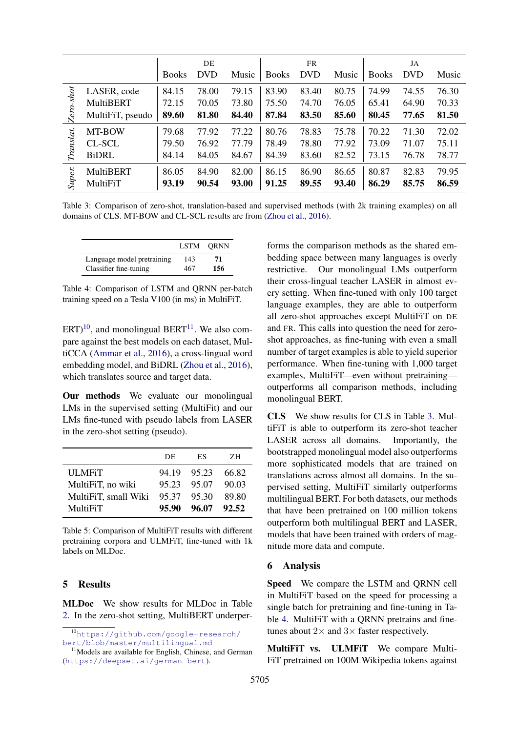<span id="page-3-3"></span>

|                      |                  |              | DE         |       |              | <b>FR</b>  |       |              | JA         |       |
|----------------------|------------------|--------------|------------|-------|--------------|------------|-------|--------------|------------|-------|
|                      |                  | <b>Books</b> | <b>DVD</b> | Music | <b>Books</b> | <b>DVD</b> | Music | <b>Books</b> | <b>DVD</b> | Music |
|                      | LASER, code      | 84.15        | 78.00      | 79.15 | 83.90        | 83.40      | 80.75 | 74.99        | 74.55      | 76.30 |
|                      | <b>MultiBERT</b> | 72.15        | 70.05      | 73.80 | 75.50        | 74.70      | 76.05 | 65.41        | 64.90      | 70.33 |
| Zero <sub>shot</sub> | MultiFiT, pseudo | 89.60        | 81.80      | 84.40 | 87.84        | 83.50      | 85.60 | 80.45        | 77.65      | 81.50 |
|                      | MT-BOW           | 79.68        | 77.92      | 77.22 | 80.76        | 78.83      | 75.78 | 70.22        | 71.30      | 72.02 |
| Translat.            | CL-SCL           | 79.50        | 76.92      | 77.79 | 78.49        | 78.80      | 77.92 | 73.09        | 71.07      | 75.11 |
|                      | <b>BiDRL</b>     | 84.14        | 84.05      | 84.67 | 84.39        | 83.60      | 82.52 | 73.15        | 76.78      | 78.77 |
| Super.               | <b>MultiBERT</b> | 86.05        | 84.90      | 82.00 | 86.15        | 86.90      | 86.65 | 80.87        | 82.83      | 79.95 |
|                      | MultiFiT         | 93.19        | 90.54      | 93.00 | 91.25        | 89.55      | 93.40 | 86.29        | 85.75      | 86.59 |

Table 3: Comparison of zero-shot, translation-based and supervised methods (with 2k training examples) on all domains of CLS. MT-BOW and CL-SCL results are from [\(Zhou et al.,](#page-5-21) [2016\)](#page-5-21).

<span id="page-3-4"></span>

|                            |     | LSTM ORNN |
|----------------------------|-----|-----------|
| Language model pretraining | 143 | 71        |
| Classifier fine-tuning     | 467 | 156       |

Table 4: Comparison of LSTM and QRNN per-batch training speed on a Tesla V100 (in ms) in MultiFiT.

 $ERT<sup>10</sup>$  $ERT<sup>10</sup>$  $ERT<sup>10</sup>$ , and monolingual BERT<sup>[11](#page-3-2)</sup>. We also compare against the best models on each dataset, MultiCCA [\(Ammar et al.,](#page-4-4) [2016\)](#page-4-4), a cross-lingual word embedding model, and BiDRL [\(Zhou et al.,](#page-5-21) [2016\)](#page-5-21), which translates source and target data.

Our methods We evaluate our monolingual LMs in the supervised setting (MultiFit) and our LMs fine-tuned with pseudo labels from LASER in the zero-shot setting (pseudo).

<span id="page-3-5"></span>

|                      | DE.   | ES          | ΖH    |
|----------------------|-------|-------------|-------|
| <b>ULMFiT</b>        |       | 94.19 95.23 | 66.82 |
| MultiFiT, no wiki    | 95.23 | 95.07       | 90.03 |
| MultiFiT, small Wiki |       | 95.37 95.30 | 89.80 |
| MultiFiT             | 95.90 | 96.07       | 92.52 |

Table 5: Comparison of MultiFiT results with different pretraining corpora and ULMFiT, fine-tuned with 1k labels on MLDoc.

## <span id="page-3-0"></span>5 Results

MLDoc We show results for MLDoc in Table [2.](#page-2-5) In the zero-shot setting, MultiBERT underper-

<span id="page-3-1"></span><sup>10</sup>[https://github.com/google-research/](https://github.com/google-research/bert/blob/master/multilingual.md) [bert/blob/master/multilingual.md](https://github.com/google-research/bert/blob/master/multilingual.md)

forms the comparison methods as the shared embedding space between many languages is overly restrictive. Our monolingual LMs outperform their cross-lingual teacher LASER in almost every setting. When fine-tuned with only 100 target language examples, they are able to outperform all zero-shot approaches except MultiFiT on DE and FR. This calls into question the need for zeroshot approaches, as fine-tuning with even a small number of target examples is able to yield superior performance. When fine-tuning with 1,000 target examples, MultiFiT—even without pretraining outperforms all comparison methods, including monolingual BERT.

CLS We show results for CLS in Table [3.](#page-3-3) MultiFiT is able to outperform its zero-shot teacher LASER across all domains. Importantly, the bootstrapped monolingual model also outperforms more sophisticated models that are trained on translations across almost all domains. In the supervised setting, MultiFiT similarly outperforms multilingual BERT. For both datasets, our methods that have been pretrained on 100 million tokens outperform both multilingual BERT and LASER, models that have been trained with orders of magnitude more data and compute.

#### 6 Analysis

Speed We compare the LSTM and QRNN cell in MultiFiT based on the speed for processing a single batch for pretraining and fine-tuning in Table [4.](#page-3-4) MultiFiT with a QRNN pretrains and finetunes about  $2\times$  and  $3\times$  faster respectively.

MultiFiT vs. ULMFiT We compare Multi-FiT pretrained on 100M Wikipedia tokens against

<span id="page-3-2"></span><sup>&</sup>lt;sup>11</sup>Models are available for English, Chinese, and German (<https://deepset.ai/german-bert>).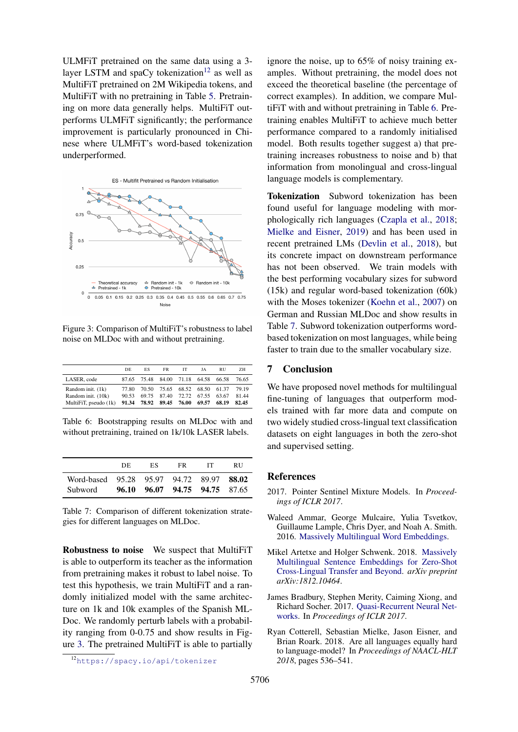ULMFiT pretrained on the same data using a 3- layer LSTM and spaCy tokenization<sup>[12](#page-4-5)</sup> as well as MultiFiT pretrained on 2M Wikipedia tokens, and MultiFiT with no pretraining in Table [5.](#page-3-5) Pretraining on more data generally helps. MultiFiT outperforms ULMFiT significantly; the performance improvement is particularly pronounced in Chinese where ULMFiT's word-based tokenization underperformed.

<span id="page-4-6"></span>

Figure 3: Comparison of MultiFiT's robustness to label noise on MLDoc with and without pretraining.

<span id="page-4-7"></span>

|                                                                  | DE             | ES                                           | FR. | <b>IT</b>                                                | JA | <b>RU</b> | ZH                      |
|------------------------------------------------------------------|----------------|----------------------------------------------|-----|----------------------------------------------------------|----|-----------|-------------------------|
| LASER, code                                                      |                | 87.65 75.48 84.00 71.18 64.58 66.58          |     |                                                          |    |           | 76.65                   |
| Random init. (1k)<br>Random init. (10k)<br>MultiFiT, pseudo (1k) | 77.80<br>90.53 | 69.75<br>91.34 78.92 89.45 76.00 69.57 68.19 |     | 70.50 75.65 68.52 68.50 61.37<br>87.40 72.72 67.55 63.67 |    |           | 79.19<br>81.44<br>82.45 |

Table 6: Bootstrapping results on MLDoc with and without pretraining, trained on 1k/10k LASER labels.

<span id="page-4-8"></span>

|                                          | DE. | ES | FR.                           | ŦТ | RU |
|------------------------------------------|-----|----|-------------------------------|----|----|
| Word-based 95.28 95.97 94.72 89.97 88.02 |     |    |                               |    |    |
| Subword                                  |     |    | 96.10 96.07 94.75 94.75 87.65 |    |    |

Table 7: Comparison of different tokenization strategies for different languages on MLDoc.

Robustness to noise We suspect that MultiFiT is able to outperform its teacher as the information from pretraining makes it robust to label noise. To test this hypothesis, we train MultiFiT and a randomly initialized model with the same architecture on 1k and 10k examples of the Spanish ML-Doc. We randomly perturb labels with a probability ranging from 0-0.75 and show results in Figure [3.](#page-4-6) The pretrained MultiFiT is able to partially

ignore the noise, up to 65% of noisy training examples. Without pretraining, the model does not exceed the theoretical baseline (the percentage of correct examples). In addition, we compare MultiFiT with and without pretraining in Table [6.](#page-4-7) Pretraining enables MultiFiT to achieve much better performance compared to a randomly initialised model. Both results together suggest a) that pretraining increases robustness to noise and b) that information from monolingual and cross-lingual language models is complementary.

Tokenization Subword tokenization has been found useful for language modeling with morphologically rich languages [\(Czapla et al.,](#page-5-22) [2018;](#page-5-22) [Mielke and Eisner,](#page-5-23) [2019\)](#page-5-23) and has been used in recent pretrained LMs [\(Devlin et al.,](#page-5-2) [2018\)](#page-5-2), but its concrete impact on downstream performance has not been observed. We train models with the best performing vocabulary sizes for subword (15k) and regular word-based tokenization (60k) with the Moses tokenizer [\(Koehn et al.,](#page-5-24) [2007\)](#page-5-24) on German and Russian MLDoc and show results in Table [7.](#page-4-8) Subword tokenization outperforms wordbased tokenization on most languages, while being faster to train due to the smaller vocabulary size.

### 7 Conclusion

We have proposed novel methods for multilingual fine-tuning of languages that outperform models trained with far more data and compute on two widely studied cross-lingual text classification datasets on eight languages in both the zero-shot and supervised setting.

### References

- <span id="page-4-3"></span>2017. Pointer Sentinel Mixture Models. In *Proceedings of ICLR 2017*.
- <span id="page-4-4"></span>Waleed Ammar, George Mulcaire, Yulia Tsvetkov, Guillaume Lample, Chris Dyer, and Noah A. Smith. 2016. [Massively Multilingual Word Embeddings.](http://arxiv.org/abs/1602.01925)
- <span id="page-4-0"></span>Mikel Artetxe and Holger Schwenk. 2018. [Massively](http://arxiv.org/abs/1812.10464) [Multilingual Sentence Embeddings for Zero-Shot](http://arxiv.org/abs/1812.10464) [Cross-Lingual Transfer and Beyond.](http://arxiv.org/abs/1812.10464) *arXiv preprint arXiv:1812.10464*.
- <span id="page-4-1"></span>James Bradbury, Stephen Merity, Caiming Xiong, and Richard Socher. 2017. [Quasi-Recurrent Neural Net](http://arxiv.org/abs/1611.01576)[works.](http://arxiv.org/abs/1611.01576) In *Proceedings of ICLR 2017*.
- <span id="page-4-2"></span>Ryan Cotterell, Sebastian Mielke, Jason Eisner, and Brian Roark. 2018. Are all languages equally hard to language-model? In *Proceedings of NAACL-HLT 2018*, pages 536–541.

<span id="page-4-5"></span><sup>12</sup><https://spacy.io/api/tokenizer>